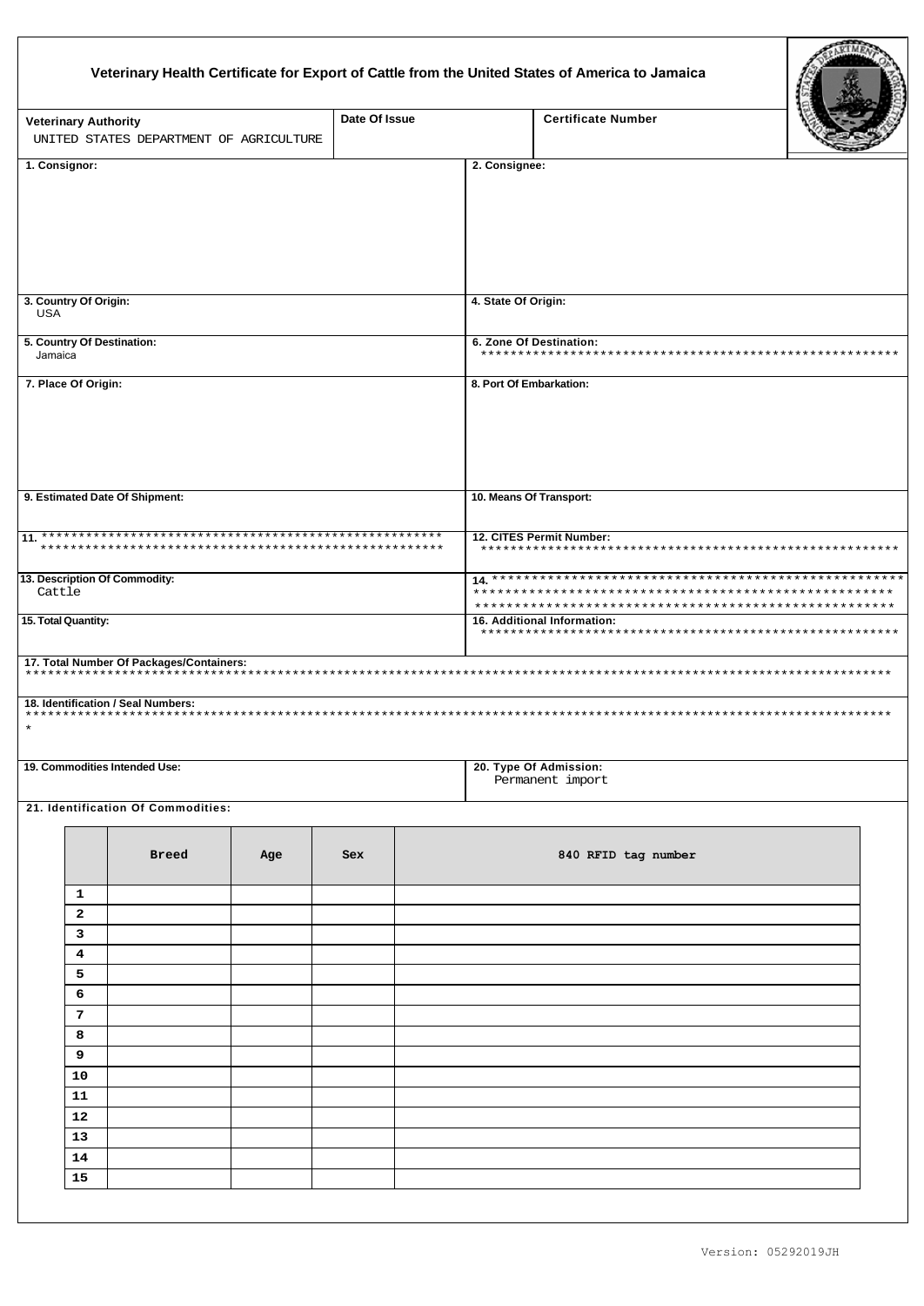## Veterinary Health Certificate for Export of Cattle from the United States of America to Jamaica

| <b>Veterinary Authority</b><br>UNITED STATES DEPARTMENT OF AGRICULTURE |          |                                                                                                            |     | Date Of Issue |                     | <b>Certificate Number</b>                                       |  |  |
|------------------------------------------------------------------------|----------|------------------------------------------------------------------------------------------------------------|-----|---------------|---------------------|-----------------------------------------------------------------|--|--|
| 1. Consignor:                                                          |          |                                                                                                            |     |               | 2. Consignee:       |                                                                 |  |  |
| 3. Country Of Origin:<br><b>USA</b>                                    |          |                                                                                                            |     |               | 4. State Of Origin: |                                                                 |  |  |
| 5. Country Of Destination:<br>Jamaica                                  |          |                                                                                                            |     |               |                     | 6. Zone Of Destination:                                         |  |  |
| 7. Place Of Origin:                                                    |          |                                                                                                            |     |               |                     | 8. Port Of Embarkation:                                         |  |  |
|                                                                        |          | 9. Estimated Date Of Shipment:                                                                             |     |               |                     | 10. Means Of Transport:                                         |  |  |
| *****                                                                  |          |                                                                                                            |     |               |                     | 12. CITES Permit Number:<br>*********************************** |  |  |
| 13. Description Of Commodity:<br>Cattle<br>15. Total Quantity:         |          |                                                                                                            |     |               |                     | 16. Additional Information:                                     |  |  |
|                                                                        |          |                                                                                                            |     |               |                     |                                                                 |  |  |
| $\star$                                                                |          | 17. Total Number Of Packages/Containers:<br>************************<br>18. Identification / Seal Numbers: |     |               |                     |                                                                 |  |  |
|                                                                        |          | 19. Commodities Intended Use:                                                                              |     |               |                     | 20. Type Of Admission:<br>Permanent import                      |  |  |
|                                                                        |          | 21. Identification Of Commodities:                                                                         |     |               |                     |                                                                 |  |  |
|                                                                        |          | <b>Breed</b>                                                                                               | Age | <b>Sex</b>    |                     | 840 RFID tag number                                             |  |  |
|                                                                        | 1        |                                                                                                            |     |               |                     |                                                                 |  |  |
|                                                                        | 2        |                                                                                                            |     |               |                     |                                                                 |  |  |
|                                                                        | 3<br>4   |                                                                                                            |     |               |                     |                                                                 |  |  |
|                                                                        | 5        |                                                                                                            |     |               |                     |                                                                 |  |  |
|                                                                        | 6        |                                                                                                            |     |               |                     |                                                                 |  |  |
|                                                                        | 7        |                                                                                                            |     |               |                     |                                                                 |  |  |
|                                                                        | 8        |                                                                                                            |     |               |                     |                                                                 |  |  |
|                                                                        | 9        |                                                                                                            |     |               |                     |                                                                 |  |  |
|                                                                        | 10       |                                                                                                            |     |               |                     |                                                                 |  |  |
|                                                                        | 11       |                                                                                                            |     |               |                     |                                                                 |  |  |
|                                                                        | 12       |                                                                                                            |     |               |                     |                                                                 |  |  |
|                                                                        | 13       |                                                                                                            |     |               |                     |                                                                 |  |  |
|                                                                        | 14<br>15 |                                                                                                            |     |               |                     |                                                                 |  |  |
|                                                                        |          |                                                                                                            |     |               |                     |                                                                 |  |  |
|                                                                        |          |                                                                                                            |     |               |                     |                                                                 |  |  |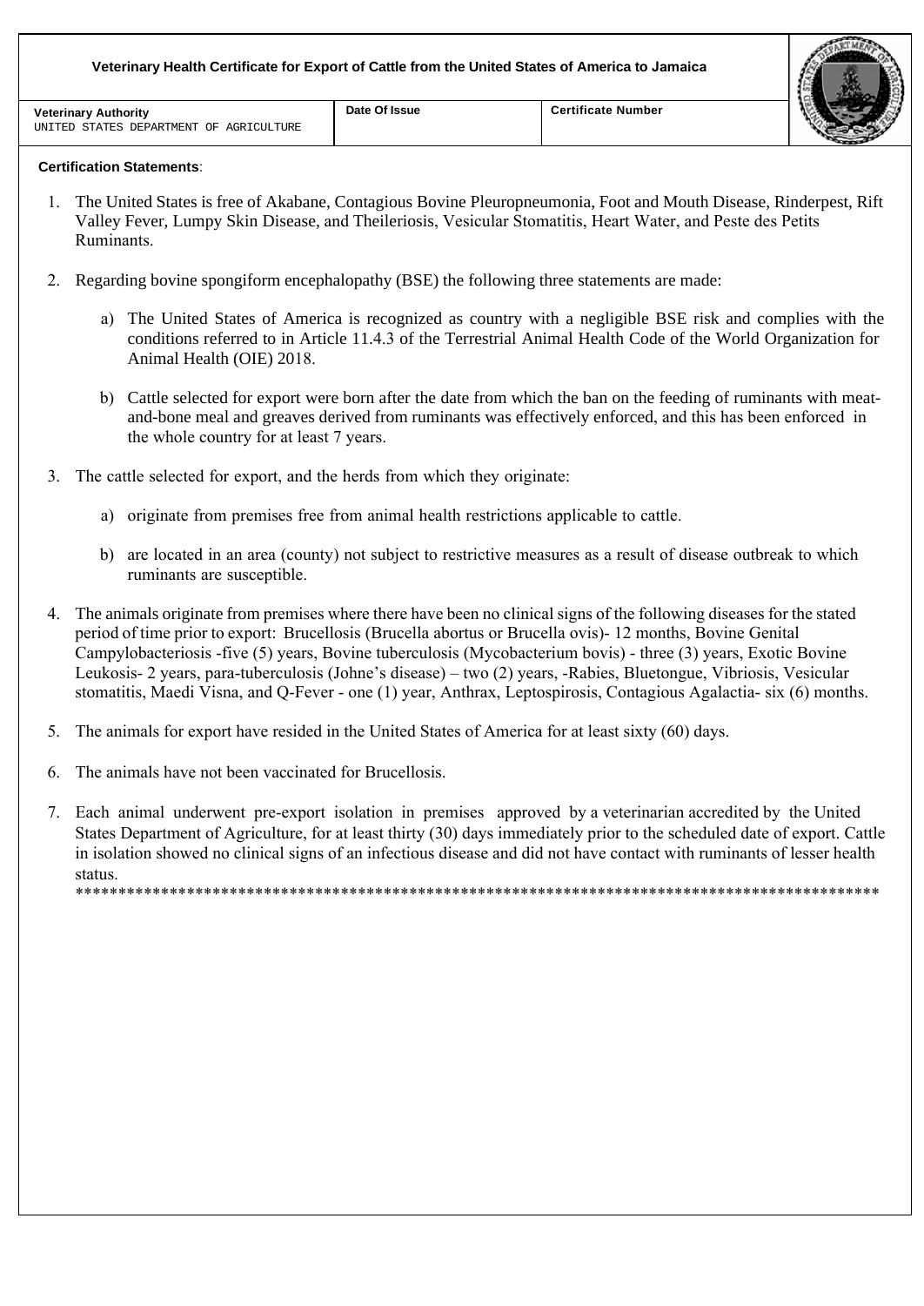| <b>Veterinary Authority</b><br>UNITED STATES DEPARTMENT OF AGRICULTURE | Date Of Issue | <b>Certificate Number</b> |  |
|------------------------------------------------------------------------|---------------|---------------------------|--|

## **Certification Statements**:

- 1. The United States is free of Akabane, Contagious Bovine Pleuropneumonia, Foot and Mouth Disease, Rinderpest, Rift Valley Fever, Lumpy Skin Disease, and Theileriosis, Vesicular Stomatitis, Heart Water, and Peste des Petits Ruminants.
- 2. Regarding bovine spongiform encephalopathy (BSE) the following three statements are made:
	- a) The United States of America is recognized as country with a negligible BSE risk and complies with the conditions referred to in Article 11.4.3 of the Terrestrial Animal Health Code of the World Organization for Animal Health (OIE) 2018.
	- b) Cattle selected for export were born after the date from which the ban on the feeding of ruminants with meatand-bone meal and greaves derived from ruminants was effectively enforced, and this has been enforced in the whole country for at least 7 years.
- 3. The cattle selected for export, and the herds from which they originate:
	- a) originate from premises free from animal health restrictions applicable to cattle.
	- b) are located in an area (county) not subject to restrictive measures as a result of disease outbreak to which ruminants are susceptible.
- 4. The animals originate from premises where there have been no clinical signs of the following diseases for the stated period of time prior to export: Brucellosis (Brucella abortus or Brucella ovis)- 12 months, Bovine Genital Campylobacteriosis -five (5) years, Bovine tuberculosis (Mycobacterium bovis) - three (3) years, Exotic Bovine Leukosis- 2 years, para-tuberculosis (Johne's disease) – two (2) years, -Rabies, Bluetongue, Vibriosis, Vesicular stomatitis, Maedi Visna, and Q-Fever - one (1) year, Anthrax, Leptospirosis, Contagious Agalactia- six (6) months.
- 5. The animals for export have resided in the United States of America for at least sixty (60) days.
- 6. The animals have not been vaccinated for Brucellosis.
- 7. Each animal underwent pre-export isolation in premises approved by a veterinarian accredited by the United States Department of Agriculture, for at least thirty (30) days immediately prior to the scheduled date of export. Cattle in isolation showed no clinical signs of an infectious disease and did not have contact with ruminants of lesser health status. \*\*\*\*\*\*\*\*\*\*\*\*\*\*\*\*\*\*\*\*\*\*\*\*\*\*\*\*\*\*\*\*\*\*\*\*\*\*\*\*\*\*\*\*\*\*\*\*\*\*\*\*\*\*\*\*\*\*\*\*\*\*\*\*\*\*\*\*\*\*\*\*\*\*\*\*\*\*\*\*\*\*\*\*\*\*\*\*\*\*\*\*\*\*